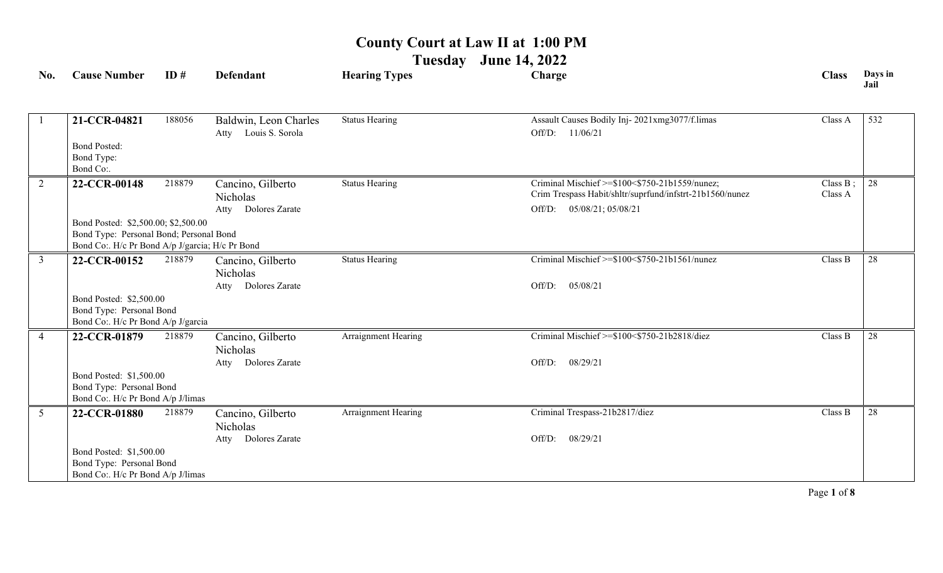**Tuesday June 14, 2022**

| No.                                                                                                                               | <b>Cause Number</b>                                                                       | ID#    | <b>Defendant</b>                              | <b>Hearing Types</b>  | Charge                                                                                                     | <b>Class</b>           | Days in<br>Jail |
|-----------------------------------------------------------------------------------------------------------------------------------|-------------------------------------------------------------------------------------------|--------|-----------------------------------------------|-----------------------|------------------------------------------------------------------------------------------------------------|------------------------|-----------------|
|                                                                                                                                   |                                                                                           |        |                                               | <b>Status Hearing</b> | Assault Causes Bodily Inj-2021xmg3077/f.limas                                                              | Class A                | 532             |
|                                                                                                                                   | 21-CCR-04821                                                                              | 188056 | Baldwin, Leon Charles<br>Atty Louis S. Sorola |                       | 11/06/21<br>Off/D:                                                                                         |                        |                 |
|                                                                                                                                   | <b>Bond Posted:</b><br>Bond Type:<br>Bond Co:.                                            |        |                                               |                       |                                                                                                            |                        |                 |
| $\overline{2}$                                                                                                                    | 22-CCR-00148                                                                              | 218879 | Cancino, Gilberto<br>Nicholas                 | <b>Status Hearing</b> | Criminal Mischief >=\$100<\$750-21b1559/nunez;<br>Crim Trespass Habit/shltr/suprfund/infstrt-21b1560/nunez | Class $B$ ;<br>Class A | 28              |
|                                                                                                                                   |                                                                                           |        | Atty Dolores Zarate                           |                       | Off/D: 05/08/21; 05/08/21                                                                                  |                        |                 |
| Bond Posted: \$2,500.00; \$2,500.00<br>Bond Type: Personal Bond; Personal Bond<br>Bond Co:. H/c Pr Bond A/p J/garcia; H/c Pr Bond |                                                                                           |        |                                               |                       |                                                                                                            |                        |                 |
| $\mathfrak{Z}$                                                                                                                    | 22-CCR-00152                                                                              | 218879 | Cancino, Gilberto                             | <b>Status Hearing</b> | Criminal Mischief >=\$100<\$750-21b1561/nunez                                                              | Class B                | 28              |
|                                                                                                                                   |                                                                                           |        | Nicholas<br>Atty Dolores Zarate               |                       | 05/08/21<br>Off/D:                                                                                         |                        |                 |
|                                                                                                                                   | Bond Posted: \$2,500.00<br>Bond Type: Personal Bond<br>Bond Co:. H/c Pr Bond A/p J/garcia |        |                                               |                       |                                                                                                            |                        |                 |
| $\overline{4}$                                                                                                                    | 22-CCR-01879                                                                              | 218879 | Cancino, Gilberto<br><b>Nicholas</b>          | Arraignment Hearing   | Criminal Mischief >=\$100<\$750-21b2818/diez                                                               | Class B                | 28              |
|                                                                                                                                   |                                                                                           |        | Atty Dolores Zarate                           |                       | 08/29/21<br>Off/D:                                                                                         |                        |                 |
|                                                                                                                                   | Bond Posted: \$1,500.00<br>Bond Type: Personal Bond<br>Bond Co:. H/c Pr Bond A/p J/limas  |        |                                               |                       |                                                                                                            |                        |                 |
| $5\overline{)}$                                                                                                                   | 22-CCR-01880                                                                              | 218879 | Cancino, Gilberto<br>Nicholas                 | Arraignment Hearing   | Criminal Trespass-21b2817/diez                                                                             | Class B                | 28              |
|                                                                                                                                   |                                                                                           |        | Atty Dolores Zarate                           |                       | Off/D:<br>08/29/21                                                                                         |                        |                 |
|                                                                                                                                   | Bond Posted: \$1,500.00<br>Bond Type: Personal Bond<br>Bond Co:. H/c Pr Bond A/p J/limas  |        |                                               |                       |                                                                                                            |                        |                 |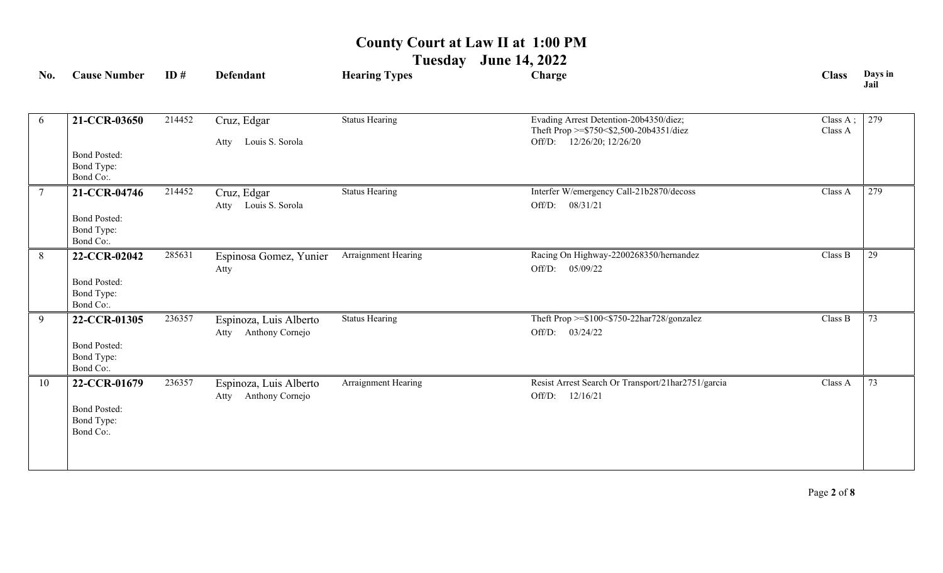**Tuesday June 14, 2022**

| No.            | <b>Cause Number</b>                                            | ID#    | <b>Defendant</b>                                  | <b>Hearing Types</b>  | Charge                                                                                                         | <b>Class</b>        | Days in<br>Jail |
|----------------|----------------------------------------------------------------|--------|---------------------------------------------------|-----------------------|----------------------------------------------------------------------------------------------------------------|---------------------|-----------------|
| 6              | 21-CCR-03650                                                   | 214452 | Cruz, Edgar<br>Louis S. Sorola<br>Atty            | <b>Status Hearing</b> | Evading Arrest Detention-20b4350/diez;<br>Theft Prop >=\$750<\$2,500-20b4351/diez<br>Off/D: 12/26/20; 12/26/20 | Class A;<br>Class A | 279             |
|                | <b>Bond Posted:</b><br>Bond Type:<br>Bond Co:.                 |        |                                                   |                       |                                                                                                                |                     |                 |
| $\overline{7}$ | 21-CCR-04746<br><b>Bond Posted:</b><br>Bond Type:<br>Bond Co:. | 214452 | Cruz, Edgar<br>Atty Louis S. Sorola               | <b>Status Hearing</b> | Interfer W/emergency Call-21b2870/decoss<br>Off/D: 08/31/21                                                    | Class A             | 279             |
| 8              | 22-CCR-02042<br><b>Bond Posted:</b><br>Bond Type:<br>Bond Co:. | 285631 | Espinosa Gomez, Yunier<br>Atty                    | Arraignment Hearing   | Racing On Highway-2200268350/hernandez<br>Off/D: 05/09/22                                                      | Class B             | 29              |
| $\overline{9}$ | 22-CCR-01305<br><b>Bond Posted:</b><br>Bond Type:<br>Bond Co:. | 236357 | Espinoza, Luis Alberto<br>Anthony Cornejo<br>Atty | <b>Status Hearing</b> | Theft Prop >=\$100<\$750-22har728/gonzalez<br>Off/D: 03/24/22                                                  | Class B             | 73              |
| 10             | 22-CCR-01679<br><b>Bond Posted:</b><br>Bond Type:<br>Bond Co:. | 236357 | Espinoza, Luis Alberto<br>Anthony Cornejo<br>Atty | Arraignment Hearing   | Resist Arrest Search Or Transport/21har2751/garcia<br>Off/D:<br>12/16/21                                       | Class A             | 73              |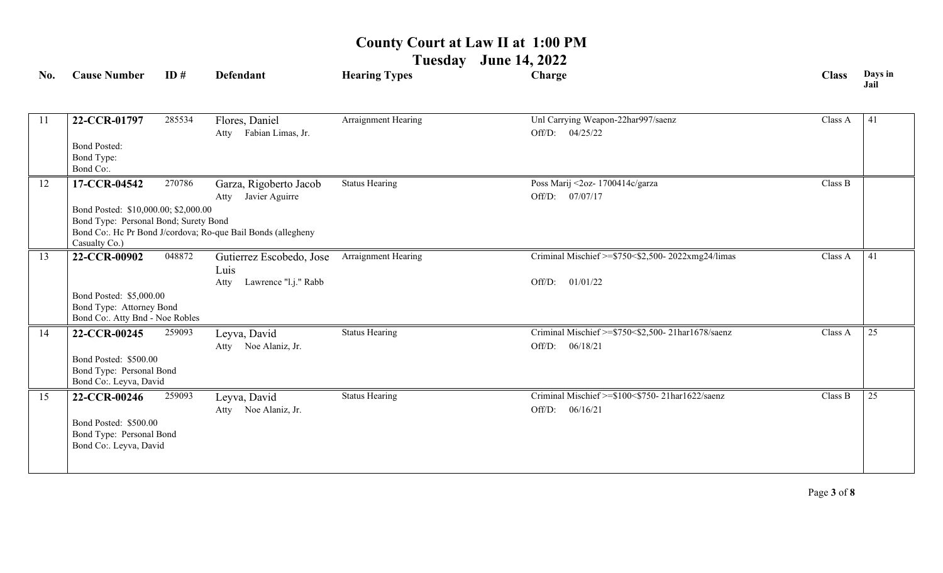**Tuesday June 14, 2022**

| No. | <b>Cause Number</b>                                                                            | ID#    | <b>Defendant</b>                                                 | <b>Hearing Types</b>  | Charge                                                                         | <b>Class</b> | Days in<br>Jail |
|-----|------------------------------------------------------------------------------------------------|--------|------------------------------------------------------------------|-----------------------|--------------------------------------------------------------------------------|--------------|-----------------|
| -11 | 22-CCR-01797                                                                                   | 285534 | Flores, Daniel<br>Atty Fabian Limas, Jr.                         | Arraignment Hearing   | Unl Carrying Weapon-22har997/saenz<br>Off/D: 04/25/22                          | Class A      | 41              |
|     | <b>Bond Posted:</b><br>Bond Type:<br>Bond Co:.                                                 |        |                                                                  |                       |                                                                                |              |                 |
| 12  | 17-CCR-04542                                                                                   | 270786 | Garza, Rigoberto Jacob<br>Javier Aguirre<br>Atty                 | <b>Status Hearing</b> | Poss Marij <2oz- 1700414c/garza<br>Off/D: 07/07/17                             | Class B      |                 |
|     | Bond Posted: \$10,000.00; \$2,000.00<br>Bond Type: Personal Bond; Surety Bond<br>Casualty Co.) |        | Bond Co:. Hc Pr Bond J/cordova; Ro-que Bail Bonds (allegheny     |                       |                                                                                |              |                 |
| 13  | 22-CCR-00902                                                                                   | 048872 | Gutierrez Escobedo, Jose<br>Luis<br>Lawrence "l.j." Rabb<br>Atty | Arraignment Hearing   | Criminal Mischief $\ge$ \$750 < \$2,500- 2022xmg24/limas<br>01/01/22<br>Off/D: | Class A      | 41              |
|     | Bond Posted: \$5,000.00<br>Bond Type: Attorney Bond<br>Bond Co:. Atty Bnd - Noe Robles         |        |                                                                  |                       |                                                                                |              |                 |
| 14  | 22-CCR-00245<br>Bond Posted: \$500.00<br>Bond Type: Personal Bond<br>Bond Co:. Leyva, David    | 259093 | Leyva, David<br>Atty Noe Alaniz, Jr.                             | <b>Status Hearing</b> | Criminal Mischief >=\$750<\$2,500-21har1678/saenz<br>06/18/21<br>Off/D:        | Class A      | 25              |
| 15  | 22-CCR-00246<br>Bond Posted: \$500.00<br>Bond Type: Personal Bond<br>Bond Co:. Leyva, David    | 259093 | Leyva, David<br>Noe Alaniz, Jr.<br>Atty                          | <b>Status Hearing</b> | Criminal Mischief >=\$100<\$750-21har1622/saenz<br>Off/D:<br>06/16/21          | Class B      | 25              |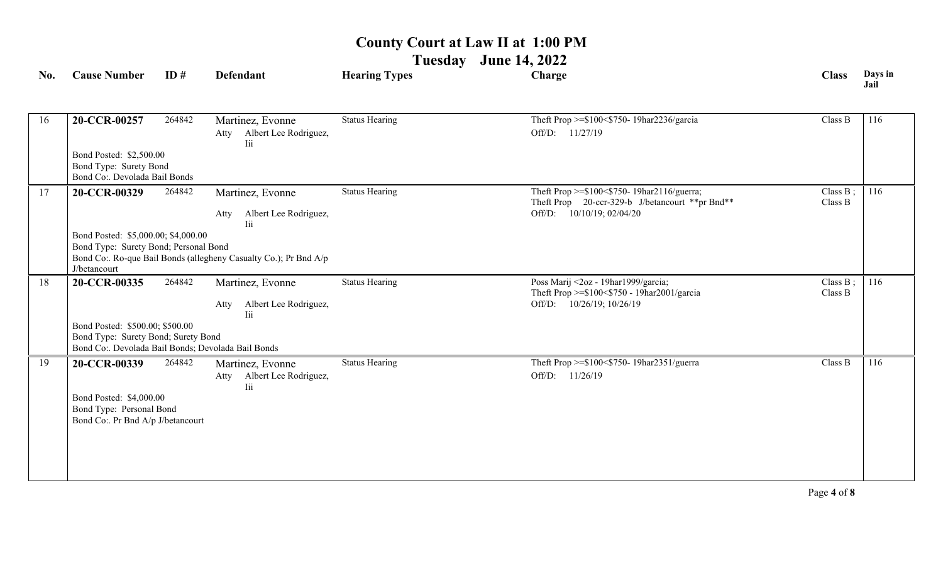**Tuesday June 14, 2022**

| No. | <b>Cause Number</b>                                                          | ID#    | <b>Defendant</b>                                                 | <b>Hearing Types</b>  | Charge                                                                                        | <b>Class</b>        | Days in<br>Jail |  |  |
|-----|------------------------------------------------------------------------------|--------|------------------------------------------------------------------|-----------------------|-----------------------------------------------------------------------------------------------|---------------------|-----------------|--|--|
|     |                                                                              |        |                                                                  |                       |                                                                                               |                     |                 |  |  |
| 16  | 20-CCR-00257                                                                 | 264842 | Martinez, Evonne                                                 | <b>Status Hearing</b> | Theft Prop >=\$100<\$750-19har2236/garcia                                                     | Class B             | 116             |  |  |
|     |                                                                              |        | Atty Albert Lee Rodriguez,<br>Iii                                |                       | Off/D: 11/27/19                                                                               |                     |                 |  |  |
|     | Bond Posted: \$2,500.00                                                      |        |                                                                  |                       |                                                                                               |                     |                 |  |  |
|     | Bond Type: Surety Bond                                                       |        |                                                                  |                       |                                                                                               |                     |                 |  |  |
|     | Bond Co:. Devolada Bail Bonds                                                |        |                                                                  |                       |                                                                                               |                     |                 |  |  |
| 17  | 20-CCR-00329                                                                 | 264842 | Martinez, Evonne                                                 | <b>Status Hearing</b> | Theft Prop >=\$100<\$750-19har2116/guerra;<br>Theft Prop 20-ccr-329-b J/betancourt **pr Bnd** | Class B;<br>Class B | 116             |  |  |
|     |                                                                              |        | Albert Lee Rodriguez,<br>Atty                                    |                       | Off/D: 10/10/19; 02/04/20                                                                     |                     |                 |  |  |
|     |                                                                              |        | Iii                                                              |                       |                                                                                               |                     |                 |  |  |
|     | Bond Posted: \$5,000.00; \$4,000.00<br>Bond Type: Surety Bond; Personal Bond |        |                                                                  |                       |                                                                                               |                     |                 |  |  |
|     |                                                                              |        | Bond Co:. Ro-que Bail Bonds (allegheny Casualty Co.); Pr Bnd A/p |                       |                                                                                               |                     |                 |  |  |
|     | J/betancourt                                                                 |        |                                                                  |                       |                                                                                               |                     |                 |  |  |
| 18  | 20-CCR-00335                                                                 | 264842 | Martinez, Evonne                                                 | <b>Status Hearing</b> | Poss Marij <2oz - 19har1999/garcia;                                                           | Class B;<br>Class B | 116             |  |  |
|     |                                                                              |        | Albert Lee Rodriguez,<br>Atty                                    |                       | Theft Prop >=\$100<\$750 - 19har2001/garcia<br>Off/D: 10/26/19; 10/26/19                      |                     |                 |  |  |
|     |                                                                              |        | <b>Tii</b>                                                       |                       |                                                                                               |                     |                 |  |  |
|     | Bond Posted: \$500.00; \$500.00<br>Bond Type: Surety Bond; Surety Bond       |        |                                                                  |                       |                                                                                               |                     |                 |  |  |
|     | Bond Co:. Devolada Bail Bonds; Devolada Bail Bonds                           |        |                                                                  |                       |                                                                                               |                     |                 |  |  |
| 19  | 20-CCR-00339                                                                 | 264842 | Martinez, Evonne                                                 | <b>Status Hearing</b> | Theft Prop >=\$100<\$750-19har2351/guerra                                                     | Class B             | 116             |  |  |
|     |                                                                              |        | Albert Lee Rodriguez,<br>Atty                                    |                       | Off/D:<br>11/26/19                                                                            |                     |                 |  |  |
|     |                                                                              |        | Iii                                                              |                       |                                                                                               |                     |                 |  |  |
|     | Bond Posted: \$4,000.00<br>Bond Type: Personal Bond                          |        |                                                                  |                       |                                                                                               |                     |                 |  |  |
|     | Bond Co:. Pr Bnd A/p J/betancourt                                            |        |                                                                  |                       |                                                                                               |                     |                 |  |  |
|     |                                                                              |        |                                                                  |                       |                                                                                               |                     |                 |  |  |
|     |                                                                              |        |                                                                  |                       |                                                                                               |                     |                 |  |  |
|     |                                                                              |        |                                                                  |                       |                                                                                               |                     |                 |  |  |
|     |                                                                              |        |                                                                  |                       |                                                                                               |                     |                 |  |  |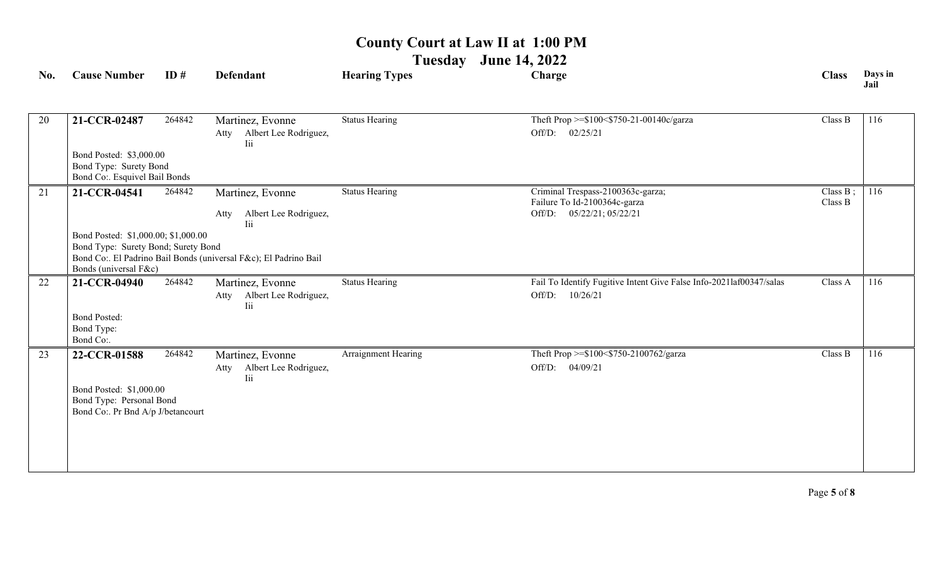**Tuesday June 14, 2022**

| No. | <b>Cause Number</b>                                                                                                                                                     | ID#    | <b>Defendant</b>                                                | <b>Hearing Types</b>  | Charge                                                                                         | <b>Class</b>        | Days in<br>Jail |  |
|-----|-------------------------------------------------------------------------------------------------------------------------------------------------------------------------|--------|-----------------------------------------------------------------|-----------------------|------------------------------------------------------------------------------------------------|---------------------|-----------------|--|
| 20  | 21-CCR-02487                                                                                                                                                            | 264842 | Martinez, Evonne<br>Atty Albert Lee Rodriguez,<br>Iii           | <b>Status Hearing</b> | Theft Prop >=\$100<\$750-21-00140c/garza<br>Off/D: 02/25/21                                    | Class B             | 116             |  |
|     | Bond Posted: \$3,000.00<br>Bond Type: Surety Bond<br>Bond Co:. Esquivel Bail Bonds                                                                                      |        |                                                                 |                       |                                                                                                |                     |                 |  |
| 21  | 21-CCR-04541                                                                                                                                                            | 264842 | Martinez, Evonne<br>Albert Lee Rodriguez,<br>Atty<br><b>Tii</b> | <b>Status Hearing</b> | Criminal Trespass-2100363c-garza;<br>Failure To Id-2100364c-garza<br>Off/D: 05/22/21; 05/22/21 | Class B;<br>Class B | 116             |  |
|     | Bond Posted: \$1,000.00; \$1,000.00<br>Bond Type: Surety Bond; Surety Bond<br>Bond Co:. El Padrino Bail Bonds (universal F&c); El Padrino Bail<br>Bonds (universal F&c) |        |                                                                 |                       |                                                                                                |                     |                 |  |
| 22  | 21-CCR-04940                                                                                                                                                            | 264842 | Martinez, Evonne<br>Albert Lee Rodriguez,<br>Atty<br><b>Iii</b> | <b>Status Hearing</b> | Fail To Identify Fugitive Intent Give False Info-2021laf00347/salas<br>10/26/21<br>Off/D:      | Class A             | 116             |  |
|     | <b>Bond Posted:</b><br>Bond Type:<br>Bond Co:.                                                                                                                          |        |                                                                 |                       |                                                                                                |                     |                 |  |
| 23  | 22-CCR-01588                                                                                                                                                            | 264842 | Martinez, Evonne<br>Albert Lee Rodriguez,<br>Atty<br>Iii        | Arraignment Hearing   | Theft Prop >=\$100<\$750-2100762/garza<br>Off/D: 04/09/21                                      | Class B             | 116             |  |
|     | Bond Posted: \$1,000.00<br>Bond Type: Personal Bond<br>Bond Co:. Pr Bnd A/p J/betancourt                                                                                |        |                                                                 |                       |                                                                                                |                     |                 |  |
|     |                                                                                                                                                                         |        |                                                                 |                       |                                                                                                |                     |                 |  |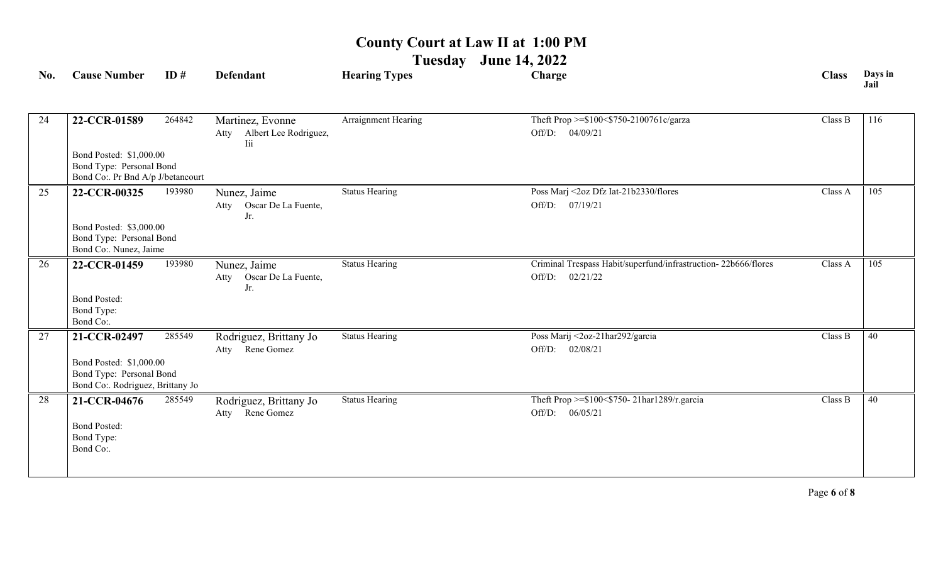**Tuesday June 14, 2022**

| No. | <b>Cause Number</b>                                                                      | ID#    | <b>Defendant</b>                                         | <b>Hearing Types</b>  | Charge                                                                               | <b>Class</b> | Days in<br>Jail |
|-----|------------------------------------------------------------------------------------------|--------|----------------------------------------------------------|-----------------------|--------------------------------------------------------------------------------------|--------------|-----------------|
| 24  | 22-CCR-01589                                                                             | 264842 | Martinez, Evonne<br>Albert Lee Rodriguez,<br>Atty<br>Iii | Arraignment Hearing   | Theft Prop >=\$100<\$750-2100761c/garza<br>Off/D: 04/09/21                           | Class B      | 116             |
|     | Bond Posted: \$1,000.00<br>Bond Type: Personal Bond<br>Bond Co:. Pr Bnd A/p J/betancourt |        |                                                          |                       |                                                                                      |              |                 |
| 25  | 22-CCR-00325                                                                             | 193980 | Nunez, Jaime<br>Oscar De La Fuente,<br>Atty<br>Jr.       | <b>Status Hearing</b> | Poss Marj <2oz Dfz Iat-21b2330/flores<br>Off/D: 07/19/21                             | Class A      | 105             |
|     | Bond Posted: \$3,000.00<br>Bond Type: Personal Bond<br>Bond Co:. Nunez, Jaime            |        |                                                          |                       |                                                                                      |              |                 |
| 26  | 22-CCR-01459                                                                             | 193980 | Nunez, Jaime<br>Oscar De La Fuente,<br>Atty<br>Jr.       | <b>Status Hearing</b> | Criminal Trespass Habit/superfund/infrastruction-22b666/flores<br>Off/D:<br>02/21/22 | Class A      | 105             |
|     | <b>Bond Posted:</b><br>Bond Type:<br>Bond Co:.                                           |        |                                                          |                       |                                                                                      |              |                 |
| 27  | 21-CCR-02497                                                                             | 285549 | Rodriguez, Brittany Jo<br>Rene Gomez<br>Atty             | <b>Status Hearing</b> | Poss Marij <2oz-21har292/garcia<br>Off/D: 02/08/21                                   | Class B      | 40              |
|     | Bond Posted: \$1,000.00<br>Bond Type: Personal Bond<br>Bond Co:. Rodriguez, Brittany Jo  |        |                                                          |                       |                                                                                      |              |                 |
| 28  | 21-CCR-04676<br><b>Bond Posted:</b><br>Bond Type:<br>Bond Co:.                           | 285549 | Rodriguez, Brittany Jo<br>Atty Rene Gomez                | <b>Status Hearing</b> | Theft Prop >=\$100<\$750-21har1289/r.garcia<br>Off/D: 06/05/21                       | Class B      | 40              |
|     |                                                                                          |        |                                                          |                       |                                                                                      |              |                 |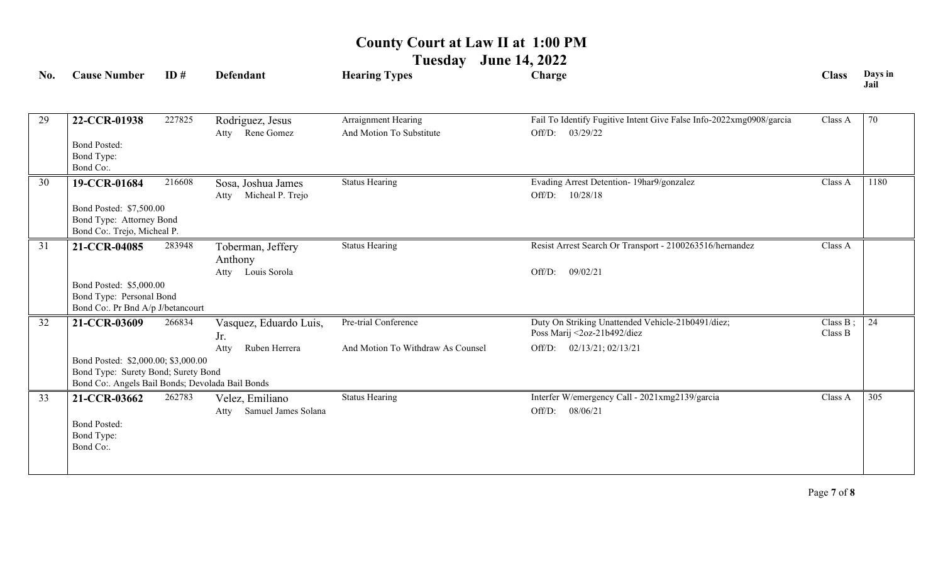**Tuesday June 14, 2022**

| No. | <b>Cause Number</b>                                           | ID#    | <b>Defendant</b>                               | <b>Hearing Types</b>              | Charge                                                              | <b>Class</b> | Days in<br>Jail |
|-----|---------------------------------------------------------------|--------|------------------------------------------------|-----------------------------------|---------------------------------------------------------------------|--------------|-----------------|
| 29  | 22-CCR-01938                                                  | 227825 | Rodriguez, Jesus                               | Arraignment Hearing               | Fail To Identify Fugitive Intent Give False Info-2022xmg0908/garcia | Class A      | 70              |
|     |                                                               |        | Rene Gomez<br>Atty                             | And Motion To Substitute          | Off/D:<br>03/29/22                                                  |              |                 |
|     | <b>Bond Posted:</b>                                           |        |                                                |                                   |                                                                     |              |                 |
|     | Bond Type:<br>Bond Co:.                                       |        |                                                |                                   |                                                                     |              |                 |
| 30  |                                                               | 216608 |                                                | <b>Status Hearing</b>             | Evading Arrest Detention- 19har9/gonzalez                           | Class A      | 1180            |
|     | 19-CCR-01684                                                  |        | Sosa, Joshua James<br>Micheal P. Trejo<br>Atty |                                   | Off/D:<br>10/28/18                                                  |              |                 |
|     | Bond Posted: \$7,500.00                                       |        |                                                |                                   |                                                                     |              |                 |
|     | Bond Type: Attorney Bond                                      |        |                                                |                                   |                                                                     |              |                 |
|     | Bond Co:. Trejo, Micheal P.                                   |        |                                                |                                   |                                                                     |              |                 |
| 31  | 21-CCR-04085                                                  | 283948 | Toberman, Jeffery                              | <b>Status Hearing</b>             | Resist Arrest Search Or Transport - 2100263516/hernandez            | Class A      |                 |
|     |                                                               |        | Anthony                                        |                                   |                                                                     |              |                 |
|     |                                                               |        | Atty Louis Sorola                              |                                   | 09/02/21<br>Off/D:                                                  |              |                 |
|     | Bond Posted: \$5,000.00                                       |        |                                                |                                   |                                                                     |              |                 |
|     | Bond Type: Personal Bond<br>Bond Co:. Pr Bnd A/p J/betancourt |        |                                                |                                   |                                                                     |              |                 |
| 32  | 21-CCR-03609                                                  | 266834 | Vasquez, Eduardo Luis,                         | Pre-trial Conference              | Duty On Striking Unattended Vehicle-21b0491/diez;                   | Class B;     | 24              |
|     |                                                               |        | Jr.                                            |                                   | Poss Marij <2oz-21b492/diez                                         | Class B      |                 |
|     |                                                               |        | Ruben Herrera<br>Atty                          | And Motion To Withdraw As Counsel | 02/13/21; 02/13/21<br>Off/D:                                        |              |                 |
|     | Bond Posted: \$2,000.00; \$3,000.00                           |        |                                                |                                   |                                                                     |              |                 |
|     | Bond Type: Surety Bond; Surety Bond                           |        |                                                |                                   |                                                                     |              |                 |
|     | Bond Co:. Angels Bail Bonds; Devolada Bail Bonds              |        |                                                |                                   |                                                                     |              |                 |
| 33  | 21-CCR-03662                                                  | 262783 | Velez, Emiliano                                | <b>Status Hearing</b>             | Interfer W/emergency Call - 2021xmg2139/garcia                      | Class A      | 305             |
|     |                                                               |        | Samuel James Solana<br>Atty                    |                                   | Off/D:<br>08/06/21                                                  |              |                 |
|     | <b>Bond Posted:</b><br>Bond Type:                             |        |                                                |                                   |                                                                     |              |                 |
|     | Bond Co:.                                                     |        |                                                |                                   |                                                                     |              |                 |
|     |                                                               |        |                                                |                                   |                                                                     |              |                 |
|     |                                                               |        |                                                |                                   |                                                                     |              |                 |